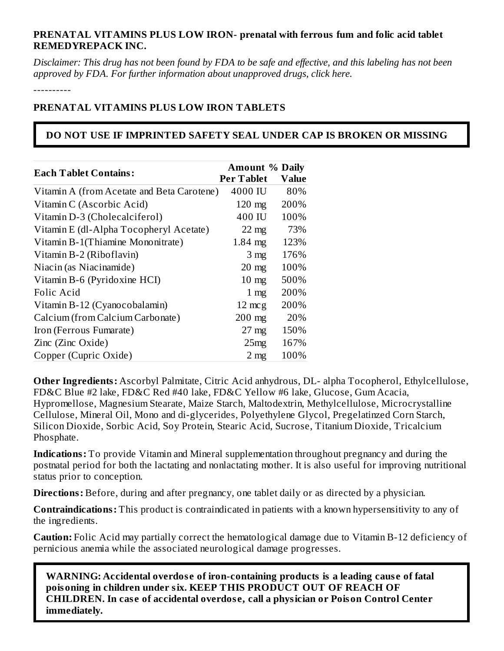### **PRENATAL VITAMINS PLUS LOW IRON- prenatal with ferrous fum and folic acid tablet REMEDYREPACK INC.**

Disclaimer: This drug has not been found by FDA to be safe and effective, and this labeling has not been *approved by FDA. For further information about unapproved drugs, click here.*

----------

### **PRENATAL VITAMINS PLUS LOW IRON TABLETS**

### **DO NOT USE IF IMPRINTED SAFETY SEAL UNDER CAP IS BROKEN OR MISSING**

| <b>Each Tablet Contains:</b>               | <b>Amount % Daily</b><br><b>Per Tablet</b> | <b>Value</b> |
|--------------------------------------------|--------------------------------------------|--------------|
| Vitamin A (from Acetate and Beta Carotene) | 4000 IU                                    | 80%          |
| Vitamin C (Ascorbic Acid)                  | $120$ mg                                   | 200%         |
| Vitamin D-3 (Cholecalciferol)              | 400 IU                                     | 100%         |
| Vitamin E (dl-Alpha Tocopheryl Acetate)    | $22$ mg                                    | 73%          |
| Vitamin B-1(Thiamine Mononitrate)          | $1.84$ mg                                  | 123%         |
| Vitamin B-2 (Riboflavin)                   | 3 <sub>mg</sub>                            | 176%         |
| Niacin (as Niacinamide)                    | $20$ mg                                    | 100%         |
| Vitamin B-6 (Pyridoxine HCI)               | $10 \text{ mg}$                            | 500%         |
| Folic Acid                                 | $1 \text{ mg}$                             | 200%         |
| Vitamin B-12 (Cyanocobalamin)              | $12 \text{ mcg}$                           | 200%         |
| Calcium (from Calcium Carbonate)           | $200$ mg                                   | 20%          |
| Iron (Ferrous Fumarate)                    | $27 \text{ mg}$                            | 150%         |
| Zinc (Zinc Oxide)                          | 25mg                                       | 167%         |
| Copper (Cupric Oxide)                      | 2 <sub>mg</sub>                            | 100%         |

**Other Ingredients:** Ascorbyl Palmitate, Citric Acid anhydrous, DL- alpha Tocopherol, Ethylcellulose, FD&C Blue #2 lake, FD&C Red #40 lake, FD&C Yellow #6 lake, Glucose, Gum Acacia, Hypromellose, Magnesium Stearate, Maize Starch, Maltodextrin, Methylcellulose, Microcrystalline Cellulose, Mineral Oil, Mono and di-glycerides, Polyethylene Glycol, Pregelatinzed Corn Starch, Silicon Dioxide, Sorbic Acid, Soy Protein, Stearic Acid, Sucrose, Titanium Dioxide, Tricalcium Phosphate.

**Indications:** To provide Vitamin and Mineral supplementation throughout pregnancy and during the postnatal period for both the lactating and nonlactating mother. It is also useful for improving nutritional status prior to conception.

**Directions:** Before, during and after pregnancy, one tablet daily or as directed by a physician.

**Contraindications:** This product is contraindicated in patients with a known hypersensitivity to any of the ingredients.

**Caution:** Folic Acid may partially correct the hematological damage due to Vitamin B-12 deficiency of pernicious anemia while the associated neurological damage progresses.

**WARNING: Accidental overdos e of iron-containing products is a leading caus e of fatal poisoning in children under six. KEEP THIS PRODUCT OUT OF REACH OF CHILDREN. In cas e of accidental overdos e, call a physician or Poison Control Center immediately.**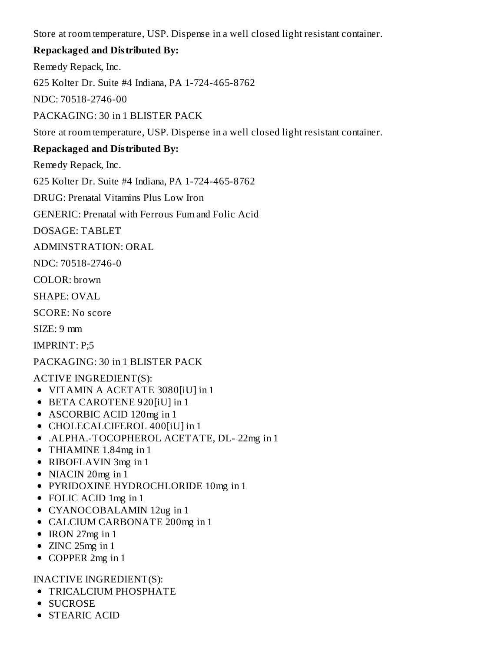Store at room temperature, USP. Dispense in a well closed light resistant container.

## **Repackaged and Distributed By:**

Remedy Repack, Inc.

625 Kolter Dr. Suite #4 Indiana, PA 1-724-465-8762

NDC: 70518-2746-00

PACKAGING: 30 in 1 BLISTER PACK

Store at room temperature, USP. Dispense in a well closed light resistant container.

## **Repackaged and Distributed By:**

Remedy Repack, Inc.

625 Kolter Dr. Suite #4 Indiana, PA 1-724-465-8762

DRUG: Prenatal Vitamins Plus Low Iron

GENERIC: Prenatal with Ferrous Fum and Folic Acid

DOSAGE: TABLET

ADMINSTRATION: ORAL

NDC: 70518-2746-0

COLOR: brown

SHAPE: OVAL

SCORE: No score

SIZE: 9 mm

IMPRINT: P;5

PACKAGING: 30 in 1 BLISTER PACK

ACTIVE INGREDIENT(S):

- VITAMIN A ACETATE 3080[iU] in 1
- BETA CAROTENE 920[iU] in 1
- ASCORBIC ACID 120mg in 1
- CHOLECALCIFEROL 400[iU] in 1
- .ALPHA.-TOCOPHEROL ACETATE, DL- 22mg in 1
- THIAMINE 1.84mg in 1
- RIBOFLAVIN 3mg in 1
- NIACIN 20mg in 1
- PYRIDOXINE HYDROCHLORIDE 10mg in 1
- FOLIC ACID 1mg in 1
- CYANOCOBALAMIN 12ug in 1
- CALCIUM CARBONATE 200mg in 1
- $\bullet$  IRON 27mg in 1
- ZINC 25mg in 1
- COPPER 2mg in 1

## INACTIVE INGREDIENT(S):

- **TRICALCIUM PHOSPHATE**
- SUCROSE
- STEARIC ACID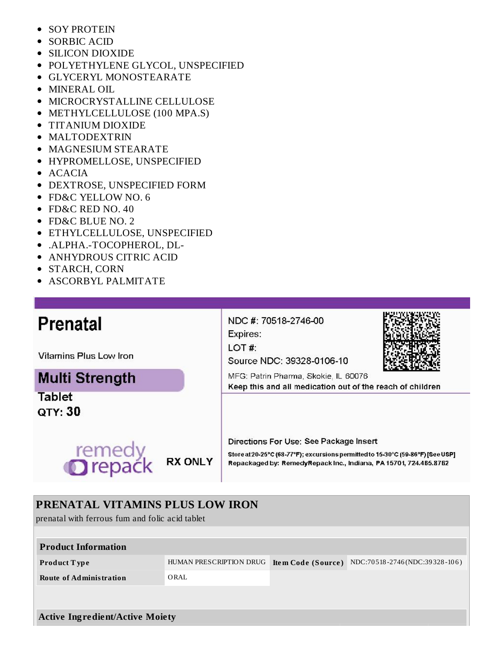- SOY PROTEIN  $\bullet$
- SORBIC ACID
- SILICON DIOXIDE
- POLYETHYLENE GLYCOL, UNSPECIFIED
- GLYCERYL MONOSTEARATE
- MINERAL OIL
- **MICROCRYSTALLINE CELLULOSE**
- METHYLCELLULOSE (100 MPA.S)
- TITANIUM DIOXIDE
- MALTODEXTRIN
- **MAGNESIUM STEARATE**
- HYPROMELLOSE, UNSPECIFIED
- $\bullet$  ACACIA
- DEXTROSE, UNSPECIFIED FORM
- FD&C YELLOW NO. 6
- FD&C RED NO. 40
- FD&C BLUE NO. 2
- ETHYLCELLULOSE, UNSPECIFIED
- .ALPHA.-TOCOPHEROL, DL-
- ANHYDROUS CITRIC ACID
- STARCH, CORN
- ASCORBYL PALMITATE

# Prenatal

Vitamins Plus Low Iron

# **Multi Strength**

**Tablet** QTY: 30



NDC #: 70518-2746-00 Expires:

LOT#:

Source NDC: 39328-0106-10



MFG: Patrin Pharma, Skokie, IL 60076 Keep this and all medication out of the reach of children

Directions For Use: See Package Insert

Store at 20-25°C (68-77°F); excursions permitted to 15-30°C (59-86°F) [See USP] Repackaged by: RemedyRepack Inc., Indiana, PA 15701, 724.465.8762

# **PRENATAL VITAMINS PLUS LOW IRON**

prenatal with ferrous fum and folic acid tablet

| <b>Product Information</b>             |                         |                           |                               |  |
|----------------------------------------|-------------------------|---------------------------|-------------------------------|--|
| Product Type                           | HUMAN PRESCRIPTION DRUG | <b>Item Code (Source)</b> | NDC:70518-2746(NDC:39328-106) |  |
| <b>Route of Administration</b>         | ORAL                    |                           |                               |  |
|                                        |                         |                           |                               |  |
|                                        |                         |                           |                               |  |
| <b>Active Ingredient/Active Moiety</b> |                         |                           |                               |  |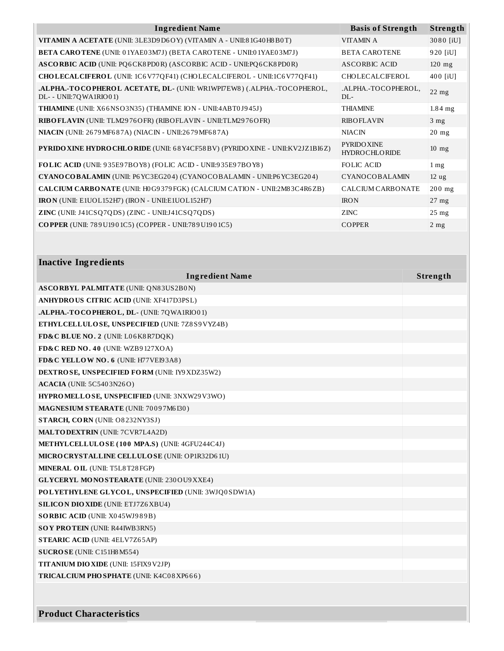| <b>Ingredient Name</b>                                                                            | <b>Basis of Strength</b>                   | Strength          |
|---------------------------------------------------------------------------------------------------|--------------------------------------------|-------------------|
| VITAMIN A ACETATE (UNII: 3LE3D9D6OY) (VITAMIN A - UNII:81G40H8B0T)                                | <b>VITAMINA</b>                            | 3080 [iU]         |
| <b>BETA CAROTENE</b> (UNII: 01YAE03M7J) (BETA CAROTENE - UNII:01YAE03M7J)                         | <b>BETA CAROTENE</b>                       | 920 [iU]          |
| ASCORBIC ACID (UNII: PQ6CK8PD0R) (ASCORBIC ACID - UNII: PQ6CK8PD0R)                               | ASCORBIC ACID                              | $120$ mg          |
| CHOLECALCIFEROL (UNII: 1C6V77QF41) (CHOLECALCIFEROL - UNII:1C6V77QF41)                            | CHOLECALCIFEROL                            | 400 [iU]          |
| .ALPHA.-TOCOPHEROL ACETATE, DL- (UNII: WR1WPI7EW8) (.ALPHA.-TOCOPHEROL,<br>DL- - UNII:7QWA1RIO01) | .ALPHA.-TOCOPHEROL,<br>$DI -$              | $22$ mg           |
| <b>THIAMINE</b> (UNII: X66NSO3N35) (THIAMINE ION - UNII:4ABT0J945J)                               | <b>THIAMINE</b>                            | $1.84$ mg         |
| RIBO FLAVIN (UNII: TLM2976OFR) (RIBO FLAVIN - UNII: TLM2976OFR)                                   | <b>RIBOFLAVIN</b>                          | 3 <sub>mg</sub>   |
| NIACIN (UNII: 2679 MF687A) (NIACIN - UNII:2679 MF687A)                                            | <b>NIACIN</b>                              | $20$ mg           |
| PYRIDO XINE HYDRO CHLO RIDE (UNII: 68Y4CF58BV) (PYRIDO XINE - UNII: KV2JZ1BI6Z)                   | <b>PYRIDO XINE</b><br><b>HYDROCHLORIDE</b> | $10 \text{ mg}$   |
| FOLIC ACID (UNII: 935E97BOY8) (FOLIC ACID - UNII:935E97BOY8)                                      | FOLIC ACID                                 | $1 \,\mathrm{mg}$ |
| CYANO COBALAMIN (UNII: P6 YC3EG204) (CYANOCOBALAMIN - UNII:P6 YC3EG204)                           | CYANOCOBALAMIN                             | 12 <sub>ug</sub>  |
| CALCIUM CARBONATE (UNII: H0G9379 FGK) (CALCIUM CATION - UNII:2M83C4R6ZB)                          | <b>CALCIUM CARBONATE</b>                   | $200$ mg          |
| <b>IRON</b> (UNII: E1UOL152H7) (IRON - UNII:E1UOL152H7)                                           | <b>IRON</b>                                | $27$ mg           |
| ZINC (UNII: J41CSQ7QDS) (ZINC - UNII:J41CSQ7QDS)                                                  | ZINC                                       | $25 \text{ mg}$   |
| <b>COPPER</b> (UNII: 789U1901C5) (COPPER - UNII:789U1901C5)                                       | <b>COPPER</b>                              | $2$ mg            |

### **Inactive Ingredients**

| <b>Ingredient Name</b>                                | Strength |
|-------------------------------------------------------|----------|
| <b>ASCORBYL PALMITATE (UNII: QN83US2B0N)</b>          |          |
| <b>ANHYDROUS CITRIC ACID (UNII: XF417D3PSL)</b>       |          |
| .ALPHA.-TOCOPHEROL, DL- (UNII: 7QWA1RIO01)            |          |
| ETHYLCELLULOSE, UNSPECIFIED (UNII: 7Z8S9VYZ4B)        |          |
| FD&C BLUE NO. 2 (UNII: L06K8R7DQK)                    |          |
| FD&C RED NO. 40 (UNII: WZB9127XOA)                    |          |
| FD&C YELLOW NO. 6 (UNII: H77VEI93A8)                  |          |
| <b>DEXTROSE, UNSPECIFIED FORM (UNII: IY9 XDZ35W2)</b> |          |
| <b>ACACIA</b> (UNII: 5C5403N26O)                      |          |
| HYPROMELLOSE, UNSPECIFIED (UNII: 3NXW29V3WO)          |          |
| <b>MAGNESIUM STEARATE (UNII: 70097M6I30)</b>          |          |
| STARCH, CORN (UNII: O8232NY3SJ)                       |          |
| <b>MALTODEXTRIN (UNII: 7CVR7L4A2D)</b>                |          |
| METHYLCELLULOSE (100 MPA.S) (UNII: 4GFU244C4J)        |          |
| MICRO CRYSTALLINE CELLULO SE (UNII: OP1R32D61U)       |          |
| MINERAL OIL (UNII: T5L8T28FGP)                        |          |
| <b>GLYCERYL MONOSTEARATE (UNII: 230 OU9 XXE4)</b>     |          |
| POLYETHYLENE GLYCOL, UNSPECIFIED (UNII: 3WJQ0SDW1A)   |          |
| <b>SILICON DIO XIDE (UNII: ETJ7Z6 XBU4)</b>           |          |
| SORBIC ACID (UNII: X045WJ989B)                        |          |
| <b>SOY PROTEIN (UNII: R44IWB3RN5)</b>                 |          |
| <b>STEARIC ACID (UNII: 4ELV7Z65AP)</b>                |          |
| SUCROSE (UNII: C151H8 M554)                           |          |
| <b>TITANIUM DIO XIDE (UNII: 15FIX9 V2JP)</b>          |          |
| TRICAL CIUM PHO SPHATE (UNII: K4C08XP666)             |          |
|                                                       |          |
|                                                       |          |

**Product Characteristics**